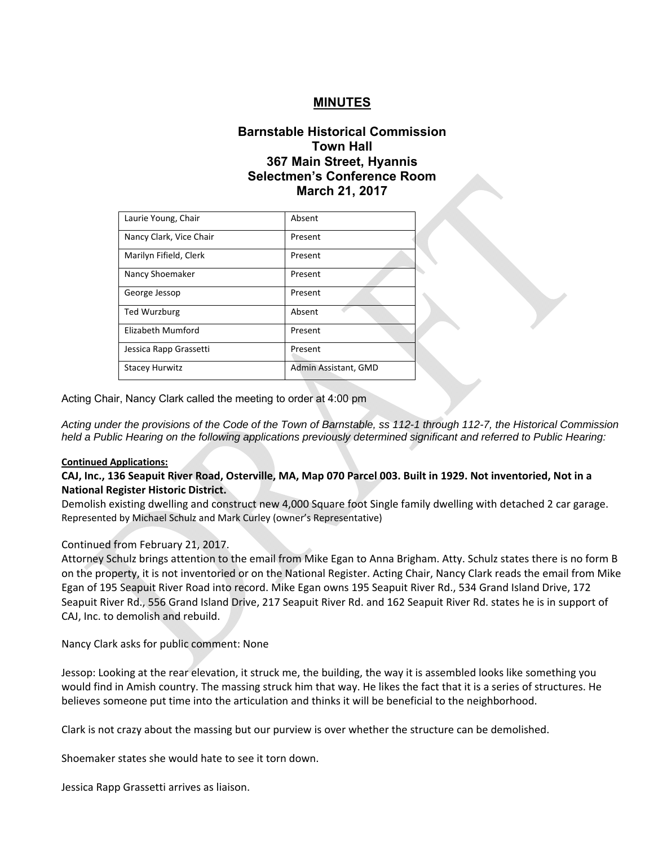# **MINUTES**

# **Barnstable Historical Commission Town Hall 367 Main Street, Hyannis Selectmen's Conference Room March 21, 2017**

| Laurie Young, Chair     | Absent               |
|-------------------------|----------------------|
| Nancy Clark, Vice Chair | Present              |
| Marilyn Fifield, Clerk  | Present              |
| Nancy Shoemaker         | Present              |
| George Jessop           | Present              |
| Ted Wurzburg            | Absent               |
| Elizabeth Mumford       | Present              |
| Jessica Rapp Grassetti  | Present              |
| <b>Stacey Hurwitz</b>   | Admin Assistant, GMD |

Acting Chair, Nancy Clark called the meeting to order at 4:00 pm

*Acting under the provisions of the Code of the Town of Barnstable, ss 112-1 through 112-7, the Historical Commission held a Public Hearing on the following applications previously determined significant and referred to Public Hearing:*

### **Continued Applications:**

# **CAJ, Inc., 136 Seapuit River Road, Osterville, MA, Map 070 Parcel 003. Built in 1929. Not inventoried, Not in a National Register Historic District.**

Demolish existing dwelling and construct new 4,000 Square foot Single family dwelling with detached 2 car garage. Represented by Michael Schulz and Mark Curley (owner's Representative)

### Continued from February 21, 2017.

Attorney Schulz brings attention to the email from Mike Egan to Anna Brigham. Atty. Schulz states there is no form B on the property, it is not inventoried or on the National Register. Acting Chair, Nancy Clark reads the email from Mike Egan of 195 Seapuit River Road into record. Mike Egan owns 195 Seapuit River Rd., 534 Grand Island Drive, 172 Seapuit River Rd., 556 Grand Island Drive, 217 Seapuit River Rd. and 162 Seapuit River Rd. states he is in support of CAJ, Inc. to demolish and rebuild.

Nancy Clark asks for public comment: None

Jessop: Looking at the rear elevation, it struck me, the building, the way it is assembled looks like something you would find in Amish country. The massing struck him that way. He likes the fact that it is a series of structures. He believes someone put time into the articulation and thinks it will be beneficial to the neighborhood.

Clark is not crazy about the massing but our purview is over whether the structure can be demolished.

Shoemaker states she would hate to see it torn down.

Jessica Rapp Grassetti arrives as liaison.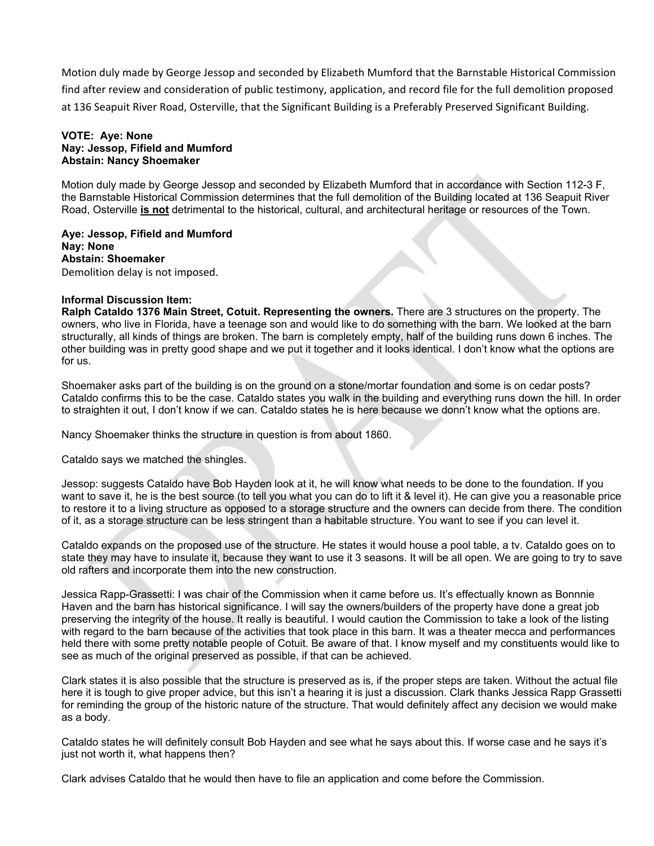Motion duly made by George Jessop and seconded by Elizabeth Mumford that the Barnstable Historical Commission find after review and consideration of public testimony, application, and record file for the full demolition proposed at 136 Seapuit River Road, Osterville, that the Significant Building is a Preferably Preserved Significant Building.

### **VOTE: Aye: None Nay: Jessop, Fifield and Mumford Abstain: Nancy Shoemaker**

Motion duly made by George Jessop and seconded by Elizabeth Mumford that in accordance with Section 112-3 F, the Barnstable Historical Commission determines that the full demolition of the Building located at 136 Seapuit River Road, Osterville **is not** detrimental to the historical, cultural, and architectural heritage or resources of the Town.

**Aye: Jessop, Fifield and Mumford Nay: None Abstain: Shoemaker**  Demolition delay is not imposed.

## **Informal Discussion Item:**

**Ralph Cataldo 1376 Main Street, Cotuit. Representing the owners.** There are 3 structures on the property. The owners, who live in Florida, have a teenage son and would like to do something with the barn. We looked at the barn structurally, all kinds of things are broken. The barn is completely empty, half of the building runs down 6 inches. The other building was in pretty good shape and we put it together and it looks identical. I don't know what the options are for us.

Shoemaker asks part of the building is on the ground on a stone/mortar foundation and some is on cedar posts? Cataldo confirms this to be the case. Cataldo states you walk in the building and everything runs down the hill. In order to straighten it out, I don't know if we can. Cataldo states he is here because we donn't know what the options are.

Nancy Shoemaker thinks the structure in question is from about 1860.

Cataldo says we matched the shingles.

Jessop: suggests Cataldo have Bob Hayden look at it, he will know what needs to be done to the foundation. If you want to save it, he is the best source (to tell you what you can do to lift it & level it). He can give you a reasonable price to restore it to a living structure as opposed to a storage structure and the owners can decide from there. The condition of it, as a storage structure can be less stringent than a habitable structure. You want to see if you can level it.

Cataldo expands on the proposed use of the structure. He states it would house a pool table, a tv. Cataldo goes on to state they may have to insulate it, because they want to use it 3 seasons. It will be all open. We are going to try to save old rafters and incorporate them into the new construction.

Jessica Rapp-Grassetti: I was chair of the Commission when it came before us. It's effectually known as Bonnnie Haven and the barn has historical significance. I will say the owners/builders of the property have done a great job preserving the integrity of the house. It really is beautiful. I would caution the Commission to take a look of the listing with regard to the barn because of the activities that took place in this barn. It was a theater mecca and performances held there with some pretty notable people of Cotuit. Be aware of that. I know myself and my constituents would like to see as much of the original preserved as possible, if that can be achieved.

Clark states it is also possible that the structure is preserved as is, if the proper steps are taken. Without the actual file here it is tough to give proper advice, but this isn't a hearing it is just a discussion. Clark thanks Jessica Rapp Grassetti for reminding the group of the historic nature of the structure. That would definitely affect any decision we would make as a body.

Cataldo states he will definitely consult Bob Hayden and see what he says about this. If worse case and he says it's just not worth it, what happens then?

Clark advises Cataldo that he would then have to file an application and come before the Commission.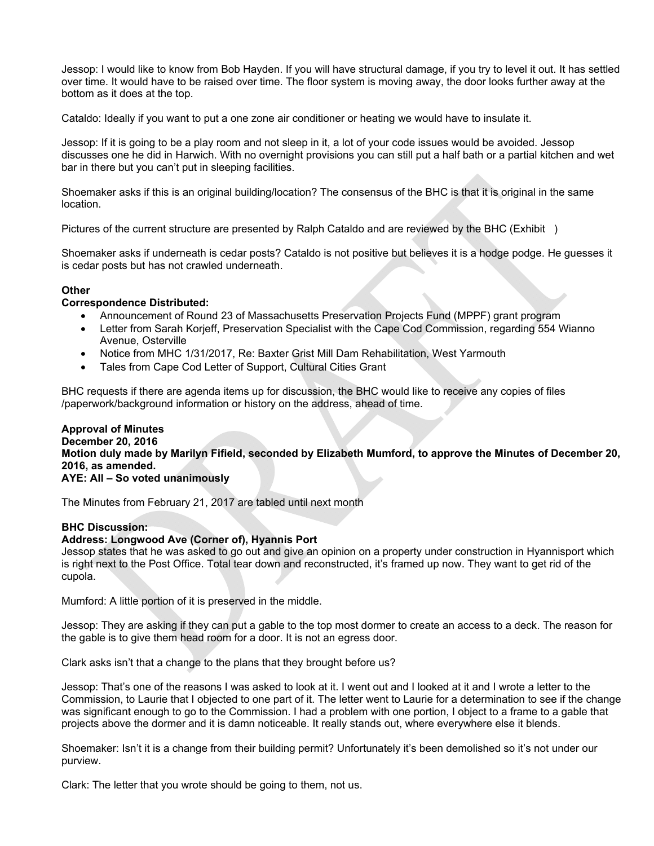Jessop: I would like to know from Bob Hayden. If you will have structural damage, if you try to level it out. It has settled over time. It would have to be raised over time. The floor system is moving away, the door looks further away at the bottom as it does at the top.

Cataldo: Ideally if you want to put a one zone air conditioner or heating we would have to insulate it.

Jessop: If it is going to be a play room and not sleep in it, a lot of your code issues would be avoided. Jessop discusses one he did in Harwich. With no overnight provisions you can still put a half bath or a partial kitchen and wet bar in there but you can't put in sleeping facilities.

Shoemaker asks if this is an original building/location? The consensus of the BHC is that it is original in the same location.

Pictures of the current structure are presented by Ralph Cataldo and are reviewed by the BHC (Exhibit )

Shoemaker asks if underneath is cedar posts? Cataldo is not positive but believes it is a hodge podge. He guesses it is cedar posts but has not crawled underneath.

# **Other**

# **Correspondence Distributed:**

- Announcement of Round 23 of Massachusetts Preservation Projects Fund (MPPF) grant program
- Letter from Sarah Korjeff, Preservation Specialist with the Cape Cod Commission, regarding 554 Wianno Avenue, Osterville
- Notice from MHC 1/31/2017, Re: Baxter Grist Mill Dam Rehabilitation, West Yarmouth
- Tales from Cape Cod Letter of Support, Cultural Cities Grant

BHC requests if there are agenda items up for discussion, the BHC would like to receive any copies of files /paperwork/background information or history on the address, ahead of time.

## **Approval of Minutes December 20, 2016 Motion duly made by Marilyn Fifield, seconded by Elizabeth Mumford, to approve the Minutes of December 20, 2016, as amended. AYE: All – So voted unanimously**

The Minutes from February 21, 2017 are tabled until next month

# **BHC Discussion:**

### **Address: Longwood Ave (Corner of), Hyannis Port**

Jessop states that he was asked to go out and give an opinion on a property under construction in Hyannisport which is right next to the Post Office. Total tear down and reconstructed, it's framed up now. They want to get rid of the cupola.

Mumford: A little portion of it is preserved in the middle.

Jessop: They are asking if they can put a gable to the top most dormer to create an access to a deck. The reason for the gable is to give them head room for a door. It is not an egress door.

Clark asks isn't that a change to the plans that they brought before us?

Jessop: That's one of the reasons I was asked to look at it. I went out and I looked at it and I wrote a letter to the Commission, to Laurie that I objected to one part of it. The letter went to Laurie for a determination to see if the change was significant enough to go to the Commission. I had a problem with one portion, I object to a frame to a gable that projects above the dormer and it is damn noticeable. It really stands out, where everywhere else it blends.

Shoemaker: Isn't it is a change from their building permit? Unfortunately it's been demolished so it's not under our purview.

Clark: The letter that you wrote should be going to them, not us.